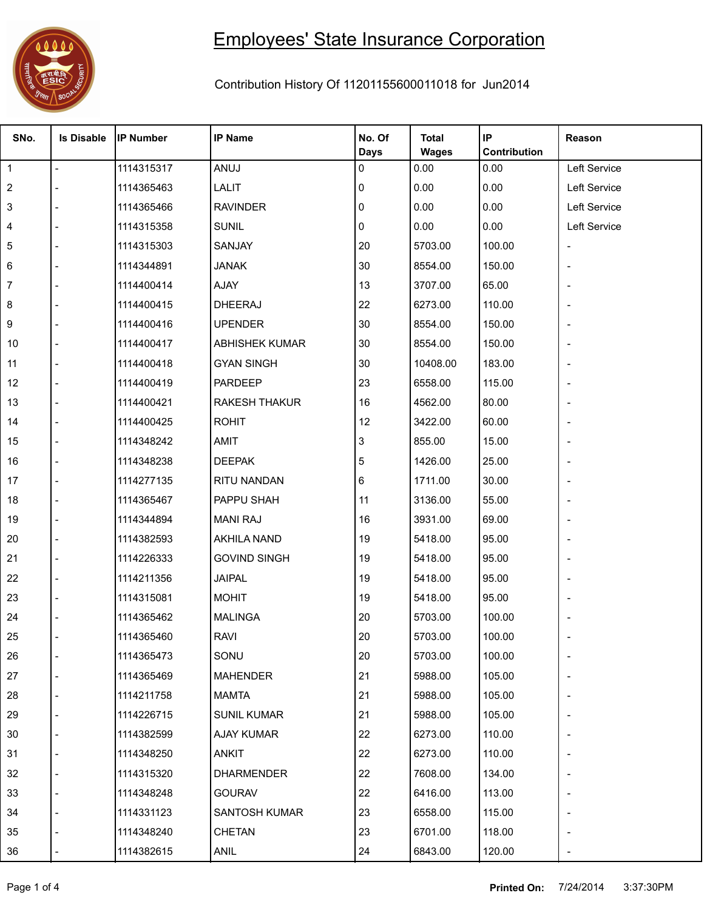

## Employees' State Insurance Corporation

## Contribution History Of 11201155600011018 for Jun2014

| SNo.           | <b>Is Disable</b> | <b>IP Number</b> | <b>IP Name</b>        | No. Of<br><b>Days</b> | <b>Total</b><br><b>Wages</b> | IP<br>Contribution | Reason                   |
|----------------|-------------------|------------------|-----------------------|-----------------------|------------------------------|--------------------|--------------------------|
| $\overline{1}$ |                   | 1114315317       | ANUJ                  | 0                     | 0.00                         | 0.00               | Left Service             |
| $\overline{c}$ |                   | 1114365463       | LALIT                 | 0                     | 0.00                         | 0.00               | Left Service             |
| 3              |                   | 1114365466       | <b>RAVINDER</b>       | 0                     | 0.00                         | 0.00               | Left Service             |
| 4              |                   | 1114315358       | <b>SUNIL</b>          | 0                     | 0.00                         | 0.00               | Left Service             |
| 5              |                   | 1114315303       | SANJAY                | 20                    | 5703.00                      | 100.00             |                          |
| 6              |                   | 1114344891       | <b>JANAK</b>          | 30                    | 8554.00                      | 150.00             | $\overline{\phantom{a}}$ |
| 7              |                   | 1114400414       | AJAY                  | 13                    | 3707.00                      | 65.00              |                          |
| 8              |                   | 1114400415       | DHEERAJ               | 22                    | 6273.00                      | 110.00             |                          |
| 9              |                   | 1114400416       | <b>UPENDER</b>        | 30                    | 8554.00                      | 150.00             |                          |
| 10             |                   | 1114400417       | <b>ABHISHEK KUMAR</b> | 30                    | 8554.00                      | 150.00             |                          |
| 11             |                   | 1114400418       | <b>GYAN SINGH</b>     | 30                    | 10408.00                     | 183.00             |                          |
| 12             |                   | 1114400419       | PARDEEP               | 23                    | 6558.00                      | 115.00             |                          |
| 13             |                   | 1114400421       | <b>RAKESH THAKUR</b>  | 16                    | 4562.00                      | 80.00              | $\overline{a}$           |
| 14             |                   | 1114400425       | <b>ROHIT</b>          | 12                    | 3422.00                      | 60.00              |                          |
| 15             |                   | 1114348242       | AMIT                  | 3                     | 855.00                       | 15.00              |                          |
| 16             |                   | 1114348238       | <b>DEEPAK</b>         | 5                     | 1426.00                      | 25.00              |                          |
| 17             |                   | 1114277135       | RITU NANDAN           | 6                     | 1711.00                      | 30.00              |                          |
| 18             |                   | 1114365467       | PAPPU SHAH            | 11                    | 3136.00                      | 55.00              | $\overline{a}$           |
| 19             |                   | 1114344894       | <b>MANI RAJ</b>       | 16                    | 3931.00                      | 69.00              |                          |
| 20             |                   | 1114382593       | <b>AKHILA NAND</b>    | 19                    | 5418.00                      | 95.00              |                          |
| 21             |                   | 1114226333       | <b>GOVIND SINGH</b>   | 19                    | 5418.00                      | 95.00              |                          |
| 22             |                   | 1114211356       | <b>JAIPAL</b>         | 19                    | 5418.00                      | 95.00              |                          |
| 23             |                   | 1114315081       | <b>MOHIT</b>          | 19                    | 5418.00                      | 95.00              |                          |
| 24             |                   | 1114365462       | <b>MALINGA</b>        | 20                    | 5703.00                      | 100.00             |                          |
| 25             |                   | 1114365460       | <b>RAVI</b>           | 20                    | 5703.00                      | 100.00             |                          |
| 26             |                   | 1114365473       | SONU                  | 20                    | 5703.00                      | 100.00             |                          |
| 27             |                   | 1114365469       | <b>MAHENDER</b>       | 21                    | 5988.00                      | 105.00             |                          |
| 28             |                   | 1114211758       | <b>MAMTA</b>          | 21                    | 5988.00                      | 105.00             |                          |
| 29             |                   | 1114226715       | <b>SUNIL KUMAR</b>    | 21                    | 5988.00                      | 105.00             | $\overline{a}$           |
| 30             |                   | 1114382599       | AJAY KUMAR            | 22                    | 6273.00                      | 110.00             |                          |
| 31             |                   | 1114348250       | <b>ANKIT</b>          | 22                    | 6273.00                      | 110.00             | $\overline{a}$           |
| 32             |                   | 1114315320       | <b>DHARMENDER</b>     | 22                    | 7608.00                      | 134.00             |                          |
| 33             |                   | 1114348248       | <b>GOURAV</b>         | 22                    | 6416.00                      | 113.00             |                          |
| 34             |                   | 1114331123       | <b>SANTOSH KUMAR</b>  | 23                    | 6558.00                      | 115.00             |                          |
| 35             |                   | 1114348240       | <b>CHETAN</b>         | 23                    | 6701.00                      | 118.00             | $\overline{a}$           |
| 36             |                   | 1114382615       | ANIL                  | 24                    | 6843.00                      | 120.00             | $\overline{\phantom{a}}$ |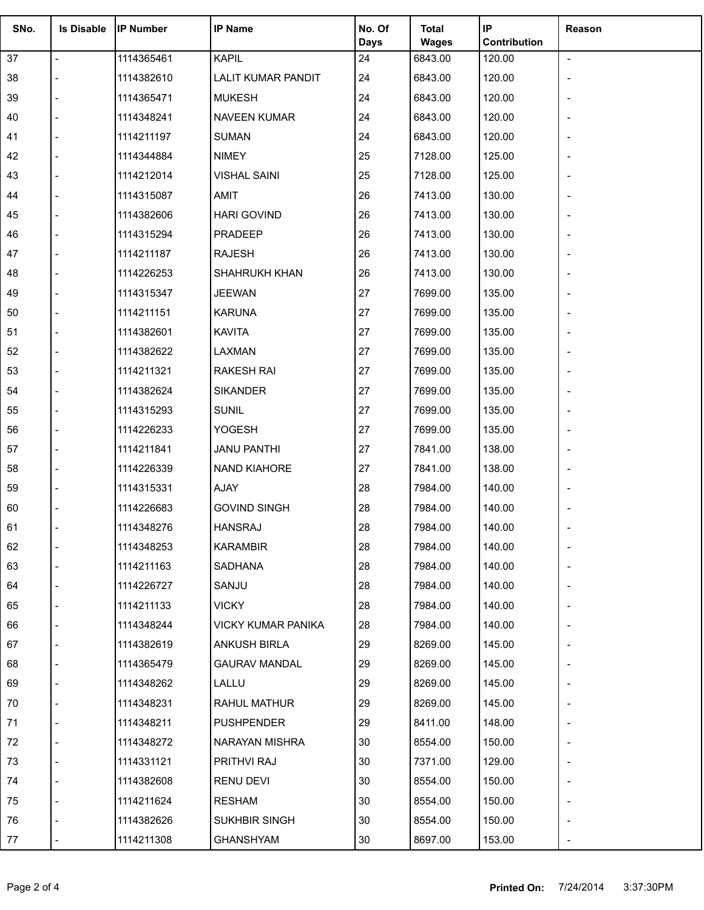| SNo. | <b>Is Disable</b> | <b>IP Number</b>         | <b>IP Name</b>                             | No. Of      | <b>Total</b> | IP           | Reason                   |
|------|-------------------|--------------------------|--------------------------------------------|-------------|--------------|--------------|--------------------------|
|      |                   |                          |                                            | <b>Days</b> | <b>Wages</b> | Contribution |                          |
| 37   | $\overline{a}$    | 1114365461<br>1114382610 | <b>KAPIL</b>                               | 24          | 6843.00      | 120.00       | $\blacksquare$           |
| 38   |                   |                          | <b>LALIT KUMAR PANDIT</b><br><b>MUKESH</b> | 24<br>24    | 6843.00      | 120.00       |                          |
| 39   |                   | 1114365471               |                                            |             | 6843.00      | 120.00       |                          |
| 40   |                   | 1114348241               | <b>NAVEEN KUMAR</b>                        | 24          | 6843.00      | 120.00       |                          |
| 41   |                   | 1114211197               | <b>SUMAN</b>                               | 24          | 6843.00      | 120.00       |                          |
| 42   |                   | 1114344884               | <b>NIMEY</b>                               | 25          | 7128.00      | 125.00       |                          |
| 43   |                   | 1114212014               | <b>VISHAL SAINI</b>                        | 25          | 7128.00      | 125.00       | $\overline{\phantom{a}}$ |
| 44   |                   | 1114315087               | AMIT                                       | 26          | 7413.00      | 130.00       |                          |
| 45   |                   | 1114382606               | <b>HARI GOVIND</b>                         | 26          | 7413.00      | 130.00       |                          |
| 46   |                   | 1114315294               | PRADEEP                                    | 26          | 7413.00      | 130.00       |                          |
| 47   |                   | 1114211187               | <b>RAJESH</b>                              | 26          | 7413.00      | 130.00       |                          |
| 48   |                   | 1114226253               | SHAHRUKH KHAN                              | 26          | 7413.00      | 130.00       |                          |
| 49   |                   | 1114315347               | <b>JEEWAN</b>                              | 27          | 7699.00      | 135.00       | $\overline{\phantom{m}}$ |
| 50   |                   | 1114211151               | <b>KARUNA</b>                              | 27          | 7699.00      | 135.00       |                          |
| 51   |                   | 1114382601               | <b>KAVITA</b>                              | 27          | 7699.00      | 135.00       |                          |
| 52   |                   | 1114382622               | LAXMAN                                     | 27          | 7699.00      | 135.00       |                          |
| 53   |                   | 1114211321               | <b>RAKESH RAI</b>                          | 27          | 7699.00      | 135.00       |                          |
| 54   |                   | 1114382624               | <b>SIKANDER</b>                            | 27          | 7699.00      | 135.00       |                          |
| 55   |                   | 1114315293               | <b>SUNIL</b>                               | 27          | 7699.00      | 135.00       | $\overline{\phantom{a}}$ |
| 56   |                   | 1114226233               | YOGESH                                     | 27          | 7699.00      | 135.00       |                          |
| 57   |                   | 1114211841               | <b>JANU PANTHI</b>                         | 27          | 7841.00      | 138.00       |                          |
| 58   |                   | 1114226339               | NAND KIAHORE                               | 27          | 7841.00      | 138.00       |                          |
| 59   |                   | 1114315331               | AJAY                                       | 28          | 7984.00      | 140.00       |                          |
| 60   |                   | 1114226683               | <b>GOVIND SINGH</b>                        | 28          | 7984.00      | 140.00       |                          |
| 61   |                   | 1114348276               | <b>HANSRAJ</b>                             | 28          | 7984.00      | 140.00       |                          |
| 62   |                   | 1114348253               | <b>KARAMBIR</b>                            | 28          | 7984.00      | 140.00       |                          |
| 63   |                   | 1114211163               | SADHANA                                    | 28          | 7984.00      | 140.00       |                          |
| 64   |                   | 1114226727               | SANJU                                      | 28          | 7984.00      | 140.00       |                          |
| 65   |                   | 1114211133               | <b>VICKY</b>                               | 28          | 7984.00      | 140.00       |                          |
| 66   |                   | 1114348244               | <b>VICKY KUMAR PANIKA</b>                  | 28          | 7984.00      | 140.00       |                          |
| 67   |                   | 1114382619               | ANKUSH BIRLA                               | 29          | 8269.00      | 145.00       |                          |
| 68   |                   | 1114365479               | <b>GAURAV MANDAL</b>                       | 29          | 8269.00      | 145.00       |                          |
| 69   |                   | 1114348262               | LALLU                                      | 29          | 8269.00      | 145.00       |                          |
| 70   |                   | 1114348231               | RAHUL MATHUR                               | 29          | 8269.00      | 145.00       |                          |
| 71   |                   | 1114348211               | <b>PUSHPENDER</b>                          | 29          | 8411.00      | 148.00       |                          |
| 72   |                   | 1114348272               | NARAYAN MISHRA                             | 30          | 8554.00      | 150.00       |                          |
| 73   |                   | 1114331121               | PRITHVI RAJ                                | 30          | 7371.00      | 129.00       |                          |
| 74   |                   | 1114382608               | RENU DEVI                                  | 30          | 8554.00      | 150.00       |                          |
| 75   |                   | 1114211624               | RESHAM                                     | 30          | 8554.00      | 150.00       |                          |
| 76   |                   | 1114382626               | SUKHBIR SINGH                              | 30          | 8554.00      | 150.00       |                          |
| 77   |                   | 1114211308               | <b>GHANSHYAM</b>                           | 30          | 8697.00      | 153.00       |                          |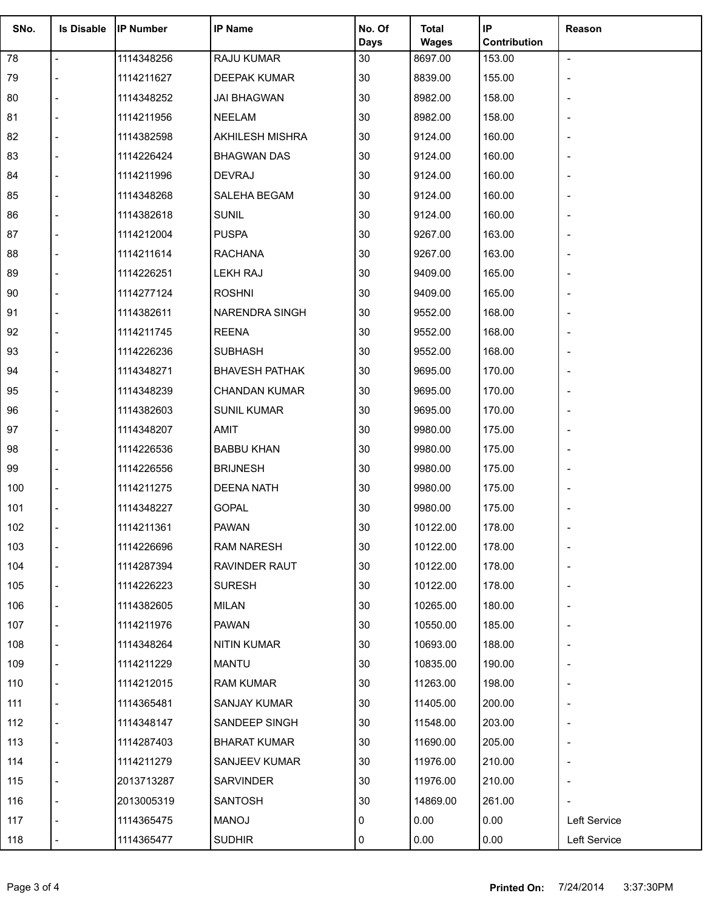| SNo. | <b>Is Disable</b> | <b>IP Number</b> | <b>IP Name</b>         | No. Of      | <b>Total</b> | IP           | Reason                   |
|------|-------------------|------------------|------------------------|-------------|--------------|--------------|--------------------------|
|      |                   |                  |                        | <b>Days</b> | <b>Wages</b> | Contribution |                          |
| 78   | $\blacksquare$    | 1114348256       | RAJU KUMAR             | 30          | 8697.00      | 153.00       | $\blacksquare$           |
| 79   |                   | 1114211627       | <b>DEEPAK KUMAR</b>    | 30          | 8839.00      | 155.00       |                          |
| 80   |                   | 1114348252       | <b>JAI BHAGWAN</b>     | 30          | 8982.00      | 158.00       |                          |
| 81   |                   | 1114211956       | NEELAM                 | 30          | 8982.00      | 158.00       |                          |
| 82   |                   | 1114382598       | <b>AKHILESH MISHRA</b> | 30          | 9124.00      | 160.00       |                          |
| 83   |                   | 1114226424       | <b>BHAGWAN DAS</b>     | 30          | 9124.00      | 160.00       |                          |
| 84   |                   | 1114211996       | <b>DEVRAJ</b>          | 30          | 9124.00      | 160.00       |                          |
| 85   |                   | 1114348268       | SALEHA BEGAM           | 30          | 9124.00      | 160.00       |                          |
| 86   |                   | 1114382618       | <b>SUNIL</b>           | 30          | 9124.00      | 160.00       |                          |
| 87   |                   | 1114212004       | <b>PUSPA</b>           | 30          | 9267.00      | 163.00       |                          |
| 88   |                   | 1114211614       | <b>RACHANA</b>         | 30          | 9267.00      | 163.00       |                          |
| 89   |                   | 1114226251       | <b>LEKH RAJ</b>        | 30          | 9409.00      | 165.00       |                          |
| 90   |                   | 1114277124       | <b>ROSHNI</b>          | 30          | 9409.00      | 165.00       | $\overline{a}$           |
| 91   |                   | 1114382611       | <b>NARENDRA SINGH</b>  | 30          | 9552.00      | 168.00       |                          |
| 92   |                   | 1114211745       | <b>REENA</b>           | 30          | 9552.00      | 168.00       |                          |
| 93   |                   | 1114226236       | <b>SUBHASH</b>         | 30          | 9552.00      | 168.00       |                          |
| 94   |                   | 1114348271       | <b>BHAVESH PATHAK</b>  | 30          | 9695.00      | 170.00       |                          |
| 95   |                   | 1114348239       | <b>CHANDAN KUMAR</b>   | 30          | 9695.00      | 170.00       |                          |
| 96   |                   | 1114382603       | <b>SUNIL KUMAR</b>     | 30          | 9695.00      | 170.00       | $\overline{\phantom{0}}$ |
| 97   |                   | 1114348207       | AMIT                   | 30          | 9980.00      | 175.00       |                          |
| 98   |                   | 1114226536       | <b>BABBU KHAN</b>      | 30          | 9980.00      | 175.00       |                          |
| 99   |                   | 1114226556       | <b>BRIJNESH</b>        | 30          | 9980.00      | 175.00       |                          |
| 100  |                   | 1114211275       | <b>DEENA NATH</b>      | 30          | 9980.00      | 175.00       |                          |
| 101  |                   | 1114348227       | <b>GOPAL</b>           | 30          | 9980.00      | 175.00       |                          |
| 102  |                   | 1114211361       | <b>PAWAN</b>           | 30          | 10122.00     | 178.00       |                          |
| 103  |                   | 1114226696       | <b>RAM NARESH</b>      | 30          | 10122.00     | 178.00       |                          |
| 104  |                   | 1114287394       | RAVINDER RAUT          | 30          | 10122.00     | 178.00       |                          |
| 105  |                   | 1114226223       | <b>SURESH</b>          | 30          | 10122.00     | 178.00       |                          |
| 106  |                   | 1114382605       | <b>MILAN</b>           | 30          | 10265.00     | 180.00       |                          |
| 107  |                   | 1114211976       | PAWAN                  | 30          | 10550.00     | 185.00       |                          |
| 108  |                   | 1114348264       | NITIN KUMAR            | 30          | 10693.00     | 188.00       |                          |
| 109  |                   | 1114211229       | <b>MANTU</b>           | 30          | 10835.00     | 190.00       |                          |
| 110  |                   | 1114212015       | <b>RAM KUMAR</b>       | 30          | 11263.00     | 198.00       |                          |
| 111  |                   | 1114365481       | SANJAY KUMAR           | 30          | 11405.00     | 200.00       |                          |
| 112  |                   | 1114348147       | SANDEEP SINGH          | 30          | 11548.00     | 203.00       |                          |
| 113  |                   | 1114287403       | <b>BHARAT KUMAR</b>    | 30          | 11690.00     | 205.00       |                          |
| 114  |                   | 1114211279       | SANJEEV KUMAR          | 30          | 11976.00     | 210.00       |                          |
| 115  |                   | 2013713287       | SARVINDER              | 30          | 11976.00     | 210.00       |                          |
| 116  |                   | 2013005319       | <b>SANTOSH</b>         | 30          | 14869.00     | 261.00       |                          |
| 117  |                   | 1114365475       | <b>MANOJ</b>           | 0           | 0.00         | 0.00         | Left Service             |
| 118  |                   | 1114365477       | <b>SUDHIR</b>          | 0           | 0.00         | 0.00         | Left Service             |